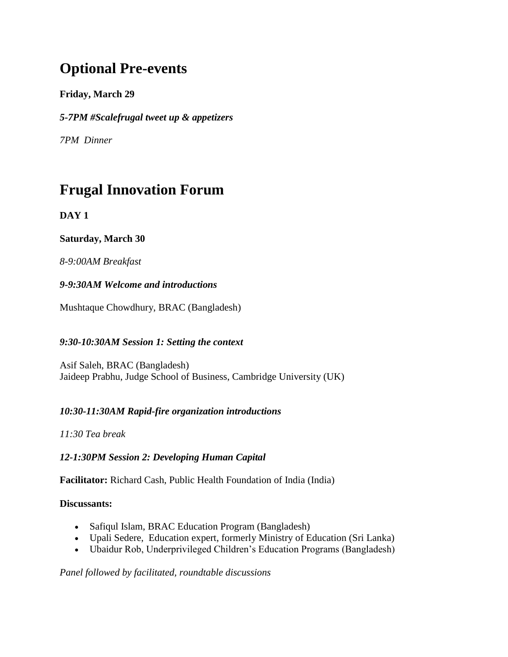# **Optional Pre-events**

**Friday, March 29**

*5-7PM #Scalefrugal tweet up & appetizers*

*7PM Dinner* 

# **Frugal Innovation Forum**

# **DAY 1**

## **Saturday, March 30**

*8-9:00AM Breakfast*

## *9-9:30AM Welcome and introductions*

Mushtaque Chowdhury, BRAC (Bangladesh)

# *9:30-10:30AM Session 1: Setting the context*

Asif Saleh, BRAC (Bangladesh) Jaideep Prabhu, Judge School of Business, Cambridge University (UK)

# *10:30-11:30AM Rapid-fire organization introductions*

# *11:30 Tea break*

# *12-1:30PM Session 2: Developing Human Capital*

**Facilitator:** Richard Cash, Public Health Foundation of India (India)

## **Discussants:**

- Safiqul Islam, BRAC Education Program (Bangladesh)
- Upali Sedere, Education expert, formerly Ministry of Education (Sri Lanka)
- Ubaidur Rob, Underprivileged Children's Education Programs (Bangladesh)

*Panel followed by facilitated, roundtable discussions*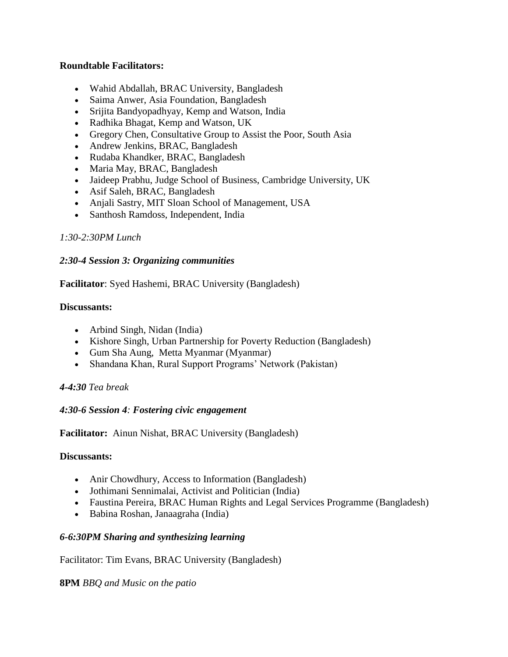#### **Roundtable Facilitators:**

- Wahid Abdallah, BRAC University, Bangladesh
- Saima Anwer, Asia Foundation, Bangladesh
- Srijita Bandyopadhyay, Kemp and Watson, India
- Radhika Bhagat, Kemp and Watson, UK
- Gregory Chen, Consultative Group to Assist the Poor, South Asia
- Andrew Jenkins, BRAC, Bangladesh
- Rudaba Khandker, BRAC, Bangladesh
- Maria May, BRAC, Bangladesh
- Jaideep Prabhu, Judge School of Business, Cambridge University, UK
- Asif Saleh, BRAC, Bangladesh
- Anjali Sastry, MIT Sloan School of Management, USA
- Santhosh Ramdoss, Independent, India

#### *1:30-2:30PM Lunch*

#### *2:30-4 Session 3: Organizing communities*

**Facilitator**: Syed Hashemi, BRAC University (Bangladesh)

#### **Discussants:**

- Arbind Singh, Nidan (India)
- Kishore Singh, Urban Partnership for Poverty Reduction (Bangladesh)
- Gum Sha Aung, Metta Myanmar (Myanmar)
- Shandana Khan, Rural Support Programs' Network (Pakistan)

#### *4-4:30 Tea break*

#### *4:30-6 Session 4: Fostering civic engagement*

**Facilitator:** Ainun Nishat, BRAC University (Bangladesh)

#### **Discussants:**

- Anir Chowdhury, Access to Information (Bangladesh)
- Jothimani Sennimalai, Activist and Politician (India)
- Faustina Pereira, BRAC Human Rights and Legal Services Programme (Bangladesh)
- Babina Roshan, Janaagraha (India)

#### *6-6:30PM Sharing and synthesizing learning*

Facilitator: Tim Evans, BRAC University (Bangladesh)

**8PM** *BBQ and Music on the patio*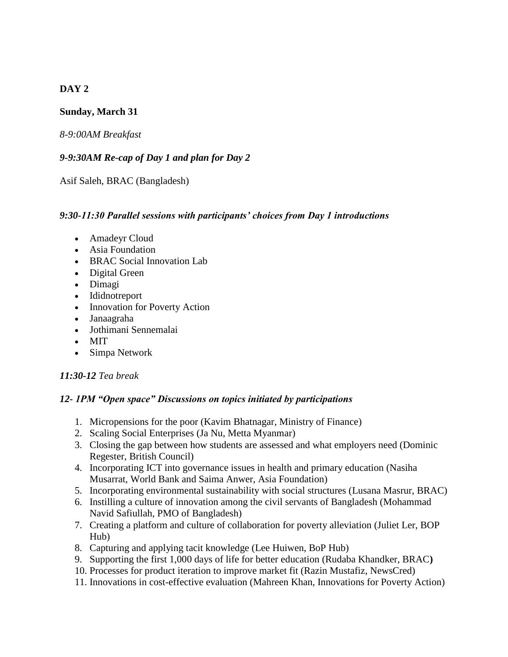## **DAY 2**

## **Sunday, March 31**

#### *8-9:00AM Breakfast*

### *9-9:30AM Re-cap of Day 1 and plan for Day 2*

Asif Saleh, BRAC (Bangladesh)

#### *9:30-11:30 Parallel sessions with participants' choices from Day 1 introductions*

- Amadeyr Cloud
- Asia Foundation
- BRAC Social Innovation Lab
- Digital Green
- Dimagi
- Ididnotreport
- Innovation for Poverty Action
- Janaagraha
- Jothimani Sennemalai
- MIT
- Simpa Network

#### *11:30-12 Tea break*

### *12- 1PM "Open space" Discussions on topics initiated by participations*

- 1. Micropensions for the poor (Kavim Bhatnagar, Ministry of Finance)
- 2. Scaling Social Enterprises (Ja Nu, Metta Myanmar)
- 3. Closing the gap between how students are assessed and what employers need (Dominic Regester, British Council)
- 4. Incorporating ICT into governance issues in health and primary education (Nasiha Musarrat, World Bank and Saima Anwer, Asia Foundation)
- 5. Incorporating environmental sustainability with social structures (Lusana Masrur, BRAC)
- 6. Instilling a culture of innovation among the civil servants of Bangladesh (Mohammad Navid Safiullah, PMO of Bangladesh)
- 7. Creating a platform and culture of collaboration for poverty alleviation (Juliet Ler, BOP Hub)
- 8. Capturing and applying tacit knowledge (Lee Huiwen, BoP Hub)
- 9. Supporting the first 1,000 days of life for better education (Rudaba Khandker, BRAC**)**
- 10. Processes for product iteration to improve market fit (Razin Mustafiz, NewsCred)
- 11. Innovations in cost-effective evaluation (Mahreen Khan, Innovations for Poverty Action)